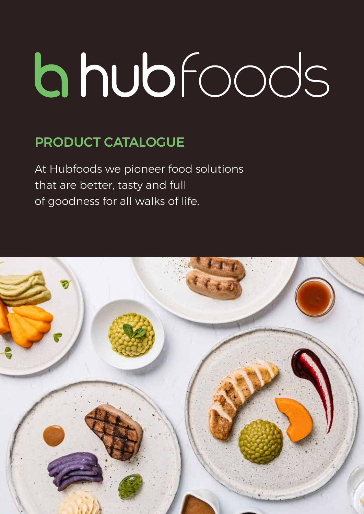# bhubfoods

#### PRODUCT CATALOGUE

At Hubfoods we pioneer food solutions that are better, tasty and full of goodness for all walks of life.

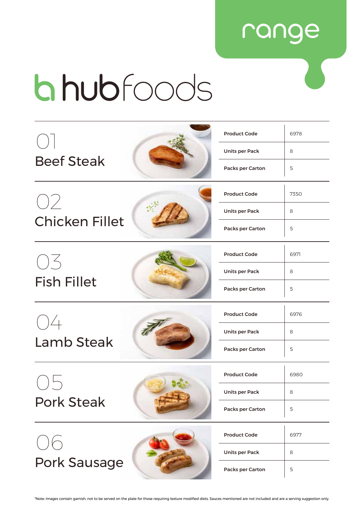#### range

# **bhub**foods

|                       | <b>Product Code</b>   | 6978 |
|-----------------------|-----------------------|------|
|                       | <b>Units per Pack</b> | 8    |
| <b>Beef Steak</b>     | Packs per Carton      | 5    |
|                       | <b>Product Code</b>   | 7350 |
| OZ                    | <b>Units per Pack</b> | 8    |
| <b>Chicken Fillet</b> | Packs per Carton      | 5    |
| $( )  \leq$           | <b>Product Code</b>   | 6971 |
|                       | <b>Units per Pack</b> | 8    |
| <b>Fish Fillet</b>    | Packs per Carton      | 5    |
| ( )4                  | <b>Product Code</b>   | 6976 |
|                       | <b>Units per Pack</b> | 8    |
| <b>Lamb Steak</b>     | Packs per Carton      | 5    |
|                       | <b>Product Code</b>   | 6980 |
|                       | Units per Pack        | 8    |
| <b>Pork Steak</b>     | Packs per Carton      | 5    |
|                       | <b>Product Code</b>   | 6977 |
|                       | <b>Units per Pack</b> | 8    |
| <b>Pork Sausage</b>   | Packs per Carton      | 5    |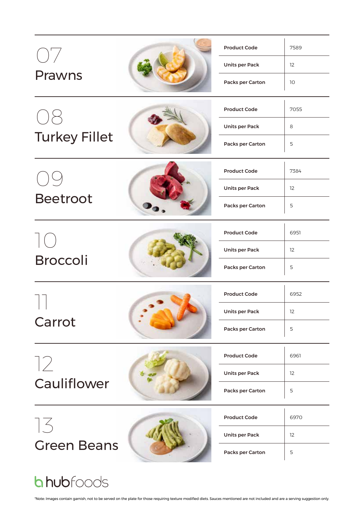|                      |                     | <b>Product Code</b>   | 7589              |
|----------------------|---------------------|-----------------------|-------------------|
| $\bigcup \bigg)$     |                     | <b>Units per Pack</b> | $12 \overline{ }$ |
| <b>Prawns</b>        |                     | Packs per Carton      | 10                |
|                      |                     | <b>Product Code</b>   | 7055              |
|                      |                     | <b>Units per Pack</b> | 8                 |
| <b>Turkey Fillet</b> |                     | Packs per Carton      | 5                 |
|                      | <b>Product Code</b> | 7384                  |                   |
|                      |                     | <b>Units per Pack</b> | 12                |
| <b>Beetroot</b>      |                     | Packs per Carton      | 5                 |
|                      |                     | <b>Product Code</b>   | 6951              |
| <b>Broccoli</b>      |                     | <b>Units per Pack</b> | 12                |
|                      |                     | Packs per Carton      | 5                 |
|                      |                     | <b>Product Code</b>   | 6952              |
| Carrot               |                     | <b>Units per Pack</b> | 12                |
|                      |                     | Packs per Carton      | 5                 |
|                      |                     | <b>Product Code</b>   | 6961              |
| 72                   |                     | <b>Units per Pack</b> | 12                |
| Cauliflower          |                     | Packs per Carton      | 5                 |
| 73                   |                     | <b>Product Code</b>   | 6970              |
|                      |                     | <b>Units per Pack</b> | 12                |
| <b>Green Beans</b>   |                     | Packs per Carton      | 5                 |
| <b>bhub</b> foods    |                     |                       |                   |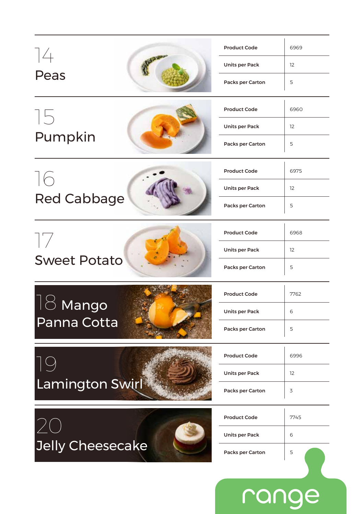|                         | <b>Product Code</b>   | 6969 |
|-------------------------|-----------------------|------|
| $\frac{1}{4}$           | <b>Units per Pack</b> | 12   |
| Peas                    | Packs per Carton      | 5    |
| 15                      | <b>Product Code</b>   | 6960 |
|                         | <b>Units per Pack</b> | 12   |
| Pumpkin                 | Packs per Carton      | 5    |
| 16                      | <b>Product Code</b>   | 6975 |
|                         | <b>Units per Pack</b> | 12   |
| <b>Red Cabbage</b>      | Packs per Carton      | 5    |
|                         | <b>Product Code</b>   | 6968 |
|                         | <b>Units per Pack</b> | 12   |
| <b>Sweet Potato</b>     | Packs per Carton      | 5    |
|                         | <b>Product Code</b>   | 7762 |
| <b>lango</b>            | <b>Units per Pack</b> | 6    |
| Panna Cotta             | Packs per Carton      | 5    |
|                         |                       |      |
|                         | <b>Product Code</b>   | 6996 |
|                         | <b>Units per Pack</b> | 12   |
| Lamington Swirl         | Packs per Carton      | 3    |
|                         | <b>Product Code</b>   | 7745 |
|                         | Units per Pack        | 6    |
| <b>Jelly Cheesecake</b> | Packs per Carton      | 5    |